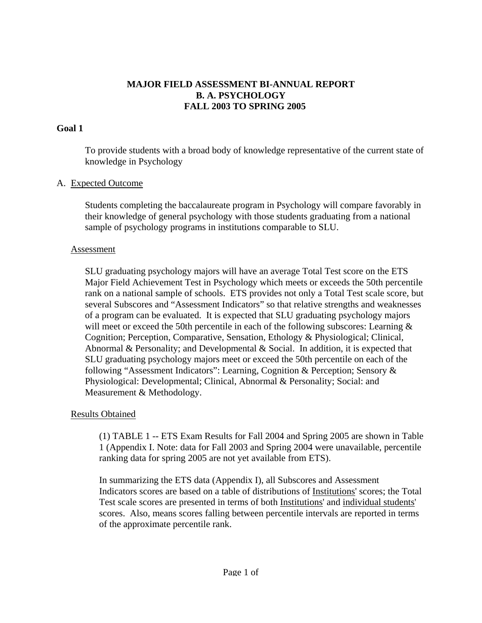# **MAJOR FIELD ASSESSMENT BI-ANNUAL REPORT B. A. PSYCHOLOGY FALL 2003 TO SPRING 2005**

## **Goal 1**

 To provide students with a broad body of knowledge representative of the current state of knowledge in Psychology

### A. Expected Outcome

 Students completing the baccalaureate program in Psychology will compare favorably in their knowledge of general psychology with those students graduating from a national sample of psychology programs in institutions comparable to SLU.

#### **Assessment**

 SLU graduating psychology majors will have an average Total Test score on the ETS Major Field Achievement Test in Psychology which meets or exceeds the 50th percentile rank on a national sample of schools. ETS provides not only a Total Test scale score, but several Subscores and "Assessment Indicators" so that relative strengths and weaknesses of a program can be evaluated. It is expected that SLU graduating psychology majors will meet or exceed the 50th percentile in each of the following subscores: Learning  $\&$ Cognition; Perception, Comparative, Sensation, Ethology & Physiological; Clinical, Abnormal & Personality; and Developmental & Social. In addition, it is expected that SLU graduating psychology majors meet or exceed the 50th percentile on each of the following "Assessment Indicators": Learning, Cognition & Perception; Sensory & Physiological: Developmental; Clinical, Abnormal & Personality; Social: and Measurement & Methodology.

## Results Obtained

 (1) TABLE 1 -- ETS Exam Results for Fall 2004 and Spring 2005 are shown in Table 1 (Appendix I. Note: data for Fall 2003 and Spring 2004 were unavailable, percentile ranking data for spring 2005 are not yet available from ETS).

 In summarizing the ETS data (Appendix I), all Subscores and Assessment Indicators scores are based on a table of distributions of Institutions' scores; the Total Test scale scores are presented in terms of both Institutions' and individual students' scores. Also, means scores falling between percentile intervals are reported in terms of the approximate percentile rank.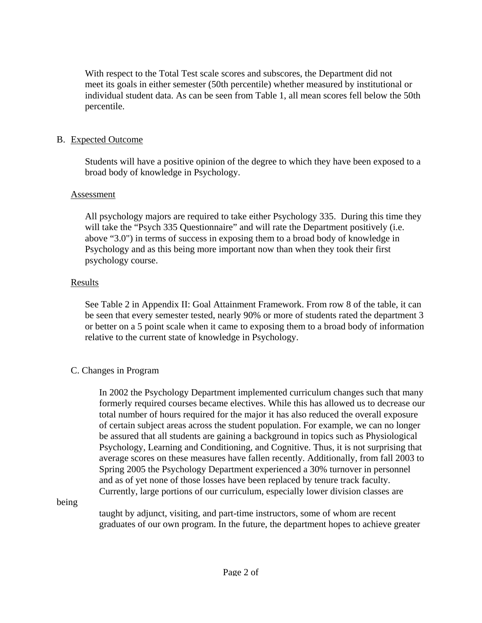With respect to the Total Test scale scores and subscores, the Department did not meet its goals in either semester (50th percentile) whether measured by institutional or individual student data. As can be seen from Table 1, all mean scores fell below the 50th percentile.

## B. Expected Outcome

 Students will have a positive opinion of the degree to which they have been exposed to a broad body of knowledge in Psychology.

### Assessment

 All psychology majors are required to take either Psychology 335. During this time they will take the "Psych 335 Questionnaire" and will rate the Department positively (i.e. above "3.0") in terms of success in exposing them to a broad body of knowledge in Psychology and as this being more important now than when they took their first psychology course.

### Results

See Table 2 in Appendix II: Goal Attainment Framework. From row 8 of the table, it can be seen that every semester tested, nearly 90% or more of students rated the department 3 or better on a 5 point scale when it came to exposing them to a broad body of information relative to the current state of knowledge in Psychology.

## C. Changes in Program

 In 2002 the Psychology Department implemented curriculum changes such that many formerly required courses became electives. While this has allowed us to decrease our total number of hours required for the major it has also reduced the overall exposure of certain subject areas across the student population. For example, we can no longer be assured that all students are gaining a background in topics such as Physiological Psychology, Learning and Conditioning, and Cognitive. Thus, it is not surprising that average scores on these measures have fallen recently. Additionally, from fall 2003 to Spring 2005 the Psychology Department experienced a 30% turnover in personnel and as of yet none of those losses have been replaced by tenure track faculty. Currently, large portions of our curriculum, especially lower division classes are

being

 taught by adjunct, visiting, and part-time instructors, some of whom are recent graduates of our own program. In the future, the department hopes to achieve greater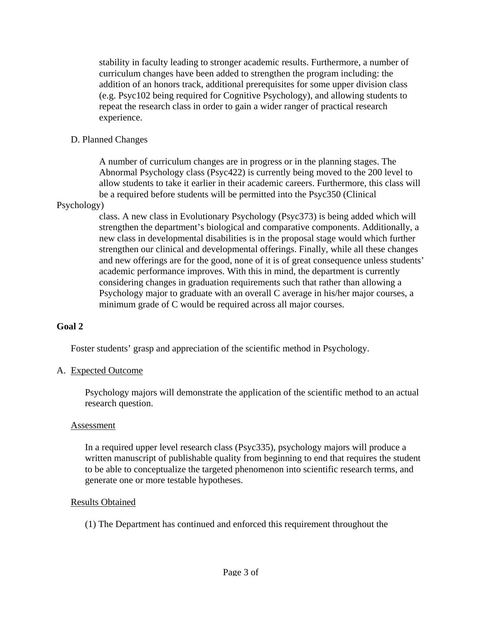stability in faculty leading to stronger academic results. Furthermore, a number of curriculum changes have been added to strengthen the program including: the addition of an honors track, additional prerequisites for some upper division class (e.g. Psyc102 being required for Cognitive Psychology), and allowing students to repeat the research class in order to gain a wider ranger of practical research experience.

# D. Planned Changes

 A number of curriculum changes are in progress or in the planning stages. The Abnormal Psychology class (Psyc422) is currently being moved to the 200 level to allow students to take it earlier in their academic careers. Furthermore, this class will be a required before students will be permitted into the Psyc350 (Clinical

### Psychology)

 class. A new class in Evolutionary Psychology (Psyc373) is being added which will strengthen the department's biological and comparative components. Additionally, a new class in developmental disabilities is in the proposal stage would which further strengthen our clinical and developmental offerings. Finally, while all these changes and new offerings are for the good, none of it is of great consequence unless students' academic performance improves. With this in mind, the department is currently considering changes in graduation requirements such that rather than allowing a Psychology major to graduate with an overall C average in his/her major courses, a minimum grade of C would be required across all major courses.

## **Goal 2**

Foster students' grasp and appreciation of the scientific method in Psychology.

## A. Expected Outcome

 Psychology majors will demonstrate the application of the scientific method to an actual research question.

#### Assessment

 In a required upper level research class (Psyc335), psychology majors will produce a written manuscript of publishable quality from beginning to end that requires the student to be able to conceptualize the targeted phenomenon into scientific research terms, and generate one or more testable hypotheses.

## Results Obtained

(1) The Department has continued and enforced this requirement throughout the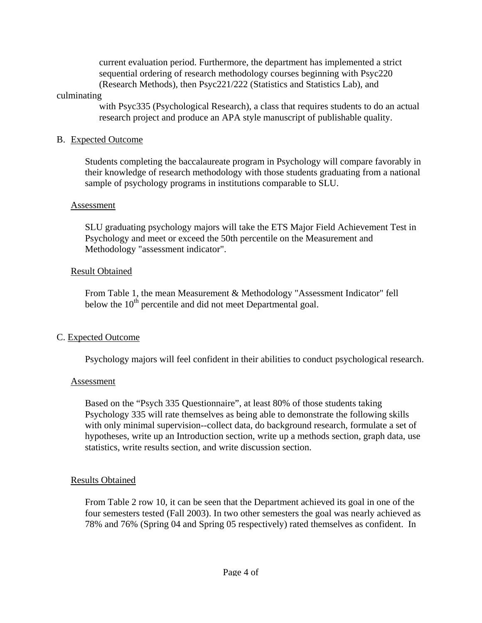current evaluation period. Furthermore, the department has implemented a strict sequential ordering of research methodology courses beginning with Psyc220 (Research Methods), then Psyc221/222 (Statistics and Statistics Lab), and

#### culminating

 with Psyc335 (Psychological Research), a class that requires students to do an actual research project and produce an APA style manuscript of publishable quality.

### B. Expected Outcome

 Students completing the baccalaureate program in Psychology will compare favorably in their knowledge of research methodology with those students graduating from a national sample of psychology programs in institutions comparable to SLU.

### Assessment

 SLU graduating psychology majors will take the ETS Major Field Achievement Test in Psychology and meet or exceed the 50th percentile on the Measurement and Methodology "assessment indicator".

## Result Obtained

 From Table 1, the mean Measurement & Methodology "Assessment Indicator" fell below the  $10<sup>th</sup>$  percentile and did not meet Departmental goal.

## C. Expected Outcome

Psychology majors will feel confident in their abilities to conduct psychological research.

#### Assessment

 Based on the "Psych 335 Questionnaire", at least 80% of those students taking Psychology 335 will rate themselves as being able to demonstrate the following skills with only minimal supervision--collect data, do background research, formulate a set of hypotheses, write up an Introduction section, write up a methods section, graph data, use statistics, write results section, and write discussion section.

#### Results Obtained

 From Table 2 row 10, it can be seen that the Department achieved its goal in one of the four semesters tested (Fall 2003). In two other semesters the goal was nearly achieved as 78% and 76% (Spring 04 and Spring 05 respectively) rated themselves as confident. In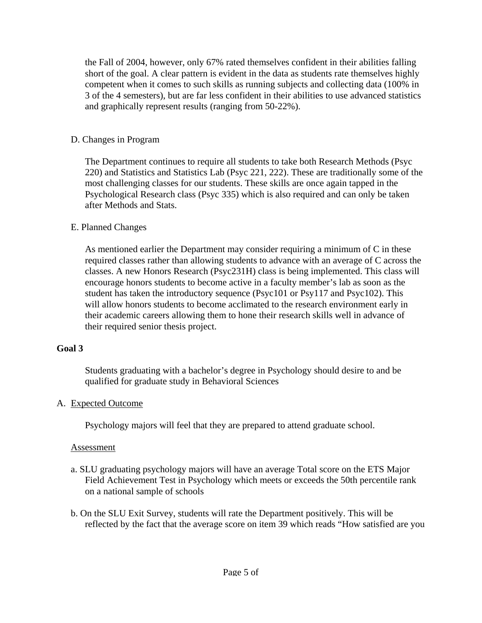the Fall of 2004, however, only 67% rated themselves confident in their abilities falling short of the goal. A clear pattern is evident in the data as students rate themselves highly competent when it comes to such skills as running subjects and collecting data (100% in 3 of the 4 semesters), but are far less confident in their abilities to use advanced statistics and graphically represent results (ranging from 50-22%).

# D. Changes in Program

 The Department continues to require all students to take both Research Methods (Psyc 220) and Statistics and Statistics Lab (Psyc 221, 222). These are traditionally some of the most challenging classes for our students. These skills are once again tapped in the Psychological Research class (Psyc 335) which is also required and can only be taken after Methods and Stats.

# E. Planned Changes

 As mentioned earlier the Department may consider requiring a minimum of C in these required classes rather than allowing students to advance with an average of C across the classes. A new Honors Research (Psyc231H) class is being implemented. This class will encourage honors students to become active in a faculty member's lab as soon as the student has taken the introductory sequence (Psyc101 or Psy117 and Psyc102). This will allow honors students to become acclimated to the research environment early in their academic careers allowing them to hone their research skills well in advance of their required senior thesis project.

# **Goal 3**

 Students graduating with a bachelor's degree in Psychology should desire to and be qualified for graduate study in Behavioral Sciences

## A. Expected Outcome

Psychology majors will feel that they are prepared to attend graduate school.

## Assessment

- a. SLU graduating psychology majors will have an average Total score on the ETS Major Field Achievement Test in Psychology which meets or exceeds the 50th percentile rank on a national sample of schools
- b. On the SLU Exit Survey, students will rate the Department positively. This will be reflected by the fact that the average score on item 39 which reads "How satisfied are you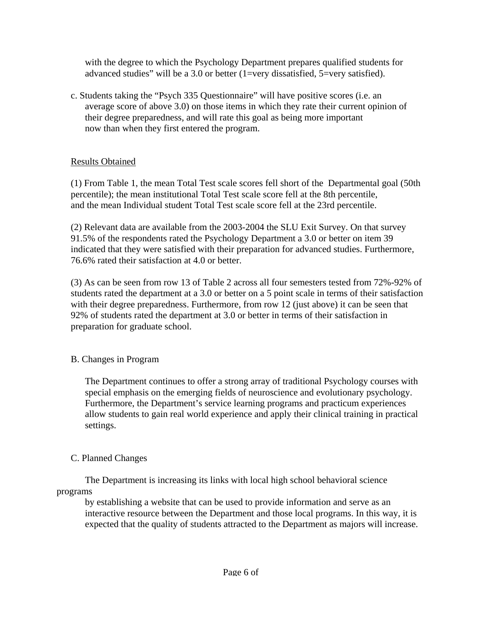with the degree to which the Psychology Department prepares qualified students for advanced studies" will be a 3.0 or better (1=very dissatisfied, 5=very satisfied).

 c. Students taking the "Psych 335 Questionnaire" will have positive scores (i.e. an average score of above 3.0) on those items in which they rate their current opinion of their degree preparedness, and will rate this goal as being more important now than when they first entered the program.

# Results Obtained

 (1) From Table 1, the mean Total Test scale scores fell short of the Departmental goal (50th percentile); the mean institutional Total Test scale score fell at the 8th percentile, and the mean Individual student Total Test scale score fell at the 23rd percentile.

 (2) Relevant data are available from the 2003-2004 the SLU Exit Survey. On that survey 91.5% of the respondents rated the Psychology Department a 3.0 or better on item 39 indicated that they were satisfied with their preparation for advanced studies. Furthermore, 76.6% rated their satisfaction at 4.0 or better.

 (3) As can be seen from row 13 of Table 2 across all four semesters tested from 72%-92% of students rated the department at a 3.0 or better on a 5 point scale in terms of their satisfaction with their degree preparedness. Furthermore, from row 12 (just above) it can be seen that 92% of students rated the department at 3.0 or better in terms of their satisfaction in preparation for graduate school.

# B. Changes in Program

 The Department continues to offer a strong array of traditional Psychology courses with special emphasis on the emerging fields of neuroscience and evolutionary psychology. Furthermore, the Department's service learning programs and practicum experiences allow students to gain real world experience and apply their clinical training in practical settings.

# C. Planned Changes

 The Department is increasing its links with local high school behavioral science programs

 by establishing a website that can be used to provide information and serve as an interactive resource between the Department and those local programs. In this way, it is expected that the quality of students attracted to the Department as majors will increase.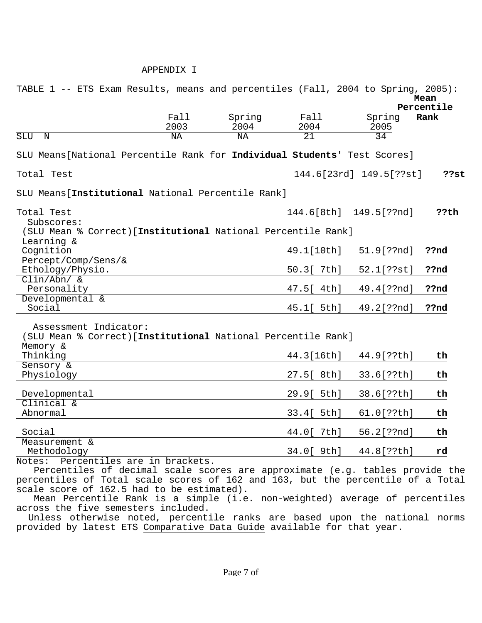#### APPENDIX I

| TABLE 1 -- ETS Exam Results, means and percentiles (Fall, 2004 to Spring, 2005):                                                                                |              |                |              |                         |            |
|-----------------------------------------------------------------------------------------------------------------------------------------------------------------|--------------|----------------|--------------|-------------------------|------------|
|                                                                                                                                                                 |              |                |              |                         | Mean       |
|                                                                                                                                                                 |              |                |              |                         | Percentile |
|                                                                                                                                                                 | Fall<br>2003 | Spring<br>2004 | Fall<br>2004 | Spring                  | Rank       |
| <b>SLU</b><br>N                                                                                                                                                 | ΝA           | NA             | 21           | 2005<br>$\overline{34}$ |            |
|                                                                                                                                                                 |              |                |              |                         |            |
| SLU Means [National Percentile Rank for Individual Students' Test Scores]                                                                                       |              |                |              |                         |            |
| Total Test                                                                                                                                                      |              |                |              | 144.6[23rd] 149.5[??st] | ??st       |
| SLU Means [Institutional National Percentile Rank]                                                                                                              |              |                |              |                         |            |
| Total Test                                                                                                                                                      |              |                |              | 144.6[8th] 149.5[??nd]  | ??th       |
| Subscores:                                                                                                                                                      |              |                |              |                         |            |
| (SLU Mean % Correct) [Institutional National Percentile Rank]                                                                                                   |              |                |              |                         |            |
| Learning &                                                                                                                                                      |              |                |              |                         |            |
| Cognition                                                                                                                                                       |              |                | 49.1[10th]   | 51.9[??nd]              | ??nd       |
| Percept/Comp/Sens/&                                                                                                                                             |              |                |              |                         |            |
| Ethology/Physio.<br>$Clin/Abn/$ &                                                                                                                               |              |                | 50.3[ 7th]   | 52.1[??st]              | ??nd       |
| Personality                                                                                                                                                     |              |                | 47.5[ 4th]   | 49.4[??nd]              | ??nd       |
| Developmental &                                                                                                                                                 |              |                |              |                         |            |
| Social                                                                                                                                                          |              |                | 45.1[ 5th]   | 49.2[??nd]              | ??nd       |
|                                                                                                                                                                 |              |                |              |                         |            |
| Assessment Indicator:<br>(SLU Mean % Correct) [Institutional National Percentile Rank]                                                                          |              |                |              |                         |            |
| Memory &                                                                                                                                                        |              |                |              |                         |            |
| Thinking                                                                                                                                                        |              |                | 44.3[16th]   | 44.9[??th]              | th         |
| Sensory &                                                                                                                                                       |              |                |              |                         |            |
| Physiology                                                                                                                                                      |              |                | 27.5[ 8th]   | 33.6[??th]              | th         |
| Developmental                                                                                                                                                   |              |                | 29.9[ 5th]   | 38.6[??th]              | th         |
| Clinical &<br>Abnormal                                                                                                                                          |              |                | 33.4[ 5th]   | 61.0[??th]              | th         |
|                                                                                                                                                                 |              |                |              |                         |            |
| Social<br>Measurement &                                                                                                                                         |              |                | 44.0[ 7th]   | 56.2[??nd]              | th         |
| Methodology                                                                                                                                                     |              |                | 34.0[ 9th]   | 44.8[??th]              | rd         |
| Notes: Percentiles are in brackets.                                                                                                                             |              |                |              |                         |            |
|                                                                                                                                                                 |              |                |              |                         |            |
| Percentiles of decimal scale scores are approximate (e.g. tables provide the<br>percentiles of Total scale scores of 162 and 163, but the percentile of a Total |              |                |              |                         |            |
| scale score of 162.5 had to be estimated).                                                                                                                      |              |                |              |                         |            |
| Mean Percentile Rank is a simple (i.e. non-weighted) average of percentiles                                                                                     |              |                |              |                         |            |
| across the five semesters included.                                                                                                                             |              |                |              |                         |            |

 Unless otherwise noted, percentile ranks are based upon the national norms provided by latest ETS Comparative Data Guide available for that year.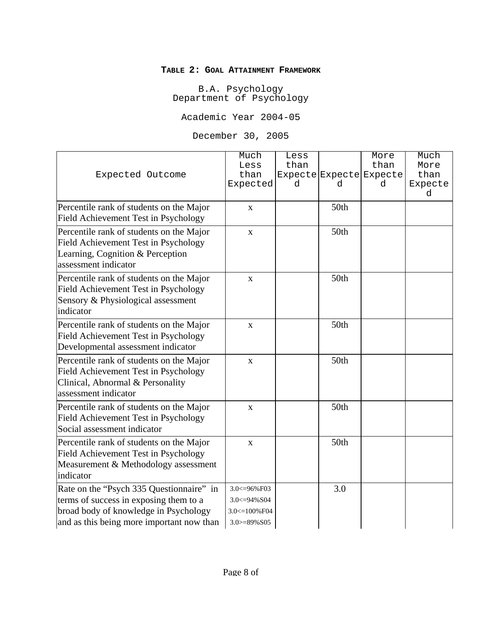#### **TABLE 2: GOAL ATTAINMENT FRAMEWORK**

B.A. Psychology Department of Psychology

Academic Year 2004-05

December 30, 2005

| Expected Outcome                                                                                                                                                         | Much<br>Less<br>than<br>Expected                                            | Less<br>than<br>d | d    | More<br>than<br>Expecte Expecte Expecte<br>d | Much<br>More<br>than<br>Expecte<br>d |
|--------------------------------------------------------------------------------------------------------------------------------------------------------------------------|-----------------------------------------------------------------------------|-------------------|------|----------------------------------------------|--------------------------------------|
| Percentile rank of students on the Major<br><b>Field Achievement Test in Psychology</b>                                                                                  | $\mathbf{X}$                                                                |                   | 50th |                                              |                                      |
| Percentile rank of students on the Major<br>Field Achievement Test in Psychology<br>Learning, Cognition & Perception<br>assessment indicator                             | $\mathbf X$                                                                 |                   | 50th |                                              |                                      |
| Percentile rank of students on the Major<br><b>Field Achievement Test in Psychology</b><br>Sensory & Physiological assessment<br>indicator                               | $\mathbf{X}$                                                                |                   | 50th |                                              |                                      |
| Percentile rank of students on the Major<br>Field Achievement Test in Psychology<br>Developmental assessment indicator                                                   | $\mathbf X$                                                                 |                   | 50th |                                              |                                      |
| Percentile rank of students on the Major<br>Field Achievement Test in Psychology<br>Clinical, Abnormal & Personality<br>assessment indicator                             | $\mathbf X$                                                                 |                   | 50th |                                              |                                      |
| Percentile rank of students on the Major<br>Field Achievement Test in Psychology<br>Social assessment indicator                                                          | $\mathbf X$                                                                 |                   | 50th |                                              |                                      |
| Percentile rank of students on the Major<br>Field Achievement Test in Psychology<br>Measurement & Methodology assessment<br>indicator                                    | $\mathbf X$                                                                 |                   | 50th |                                              |                                      |
| Rate on the "Psych 335 Questionnaire" in<br>terms of success in exposing them to a<br>broad body of knowledge in Psychology<br>and as this being more important now than | 3.0 <= 96% F03<br>$3.0 \le 94\% S04$<br>3.0 <= 100% F04<br>$3.0 = 89\% S05$ |                   | 3.0  |                                              |                                      |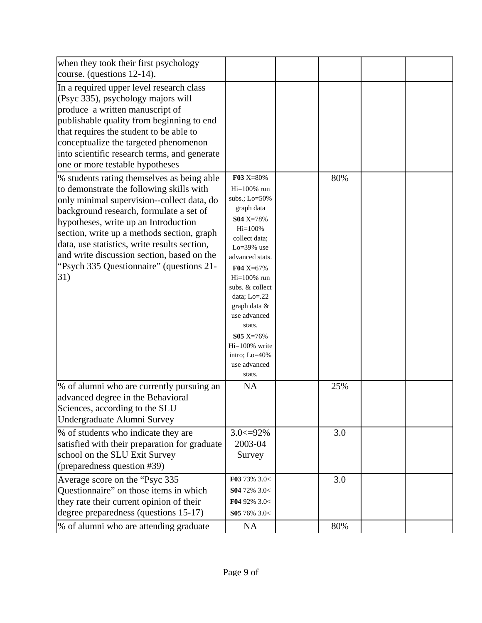| when they took their first psychology                                                                                                                                                                                                                                                                                                                                                                                  |                                                                                                                                                                                                                                                                                                                                     |     |  |
|------------------------------------------------------------------------------------------------------------------------------------------------------------------------------------------------------------------------------------------------------------------------------------------------------------------------------------------------------------------------------------------------------------------------|-------------------------------------------------------------------------------------------------------------------------------------------------------------------------------------------------------------------------------------------------------------------------------------------------------------------------------------|-----|--|
| course. (questions 12-14).                                                                                                                                                                                                                                                                                                                                                                                             |                                                                                                                                                                                                                                                                                                                                     |     |  |
| In a required upper level research class<br>(Psyc 335), psychology majors will<br>produce a written manuscript of<br>publishable quality from beginning to end<br>that requires the student to be able to<br>conceptualize the targeted phenomenon<br>into scientific research terms, and generate<br>one or more testable hypotheses                                                                                  |                                                                                                                                                                                                                                                                                                                                     |     |  |
| % students rating themselves as being able<br>to demonstrate the following skills with<br>only minimal supervision--collect data, do<br>background research, formulate a set of<br>hypotheses, write up an Introduction<br>section, write up a methods section, graph<br>data, use statistics, write results section,<br>and write discussion section, based on the<br>"Psych 335 Questionnaire" (questions 21-<br>31) | F03 X=80%<br>$Hi=100\%$ run<br>subs.; Lo=50%<br>graph data<br>S04 X=78%<br>$Hi=100%$<br>collect data;<br>$Lo=39\%$ use<br>advanced stats.<br>$F04 X=67%$<br>$Hi=100\%$ run<br>subs. & collect<br>data; $Lo=22$<br>graph data &<br>use advanced<br>stats.<br>$S05 X=76%$<br>Hi=100% write<br>intro; Lo=40%<br>use advanced<br>stats. | 80% |  |
| % of alumni who are currently pursuing an<br>advanced degree in the Behavioral<br>Sciences, according to the SLU<br>Undergraduate Alumni Survey                                                                                                                                                                                                                                                                        | <b>NA</b>                                                                                                                                                                                                                                                                                                                           | 25% |  |
| % of students who indicate they are<br>satisfied with their preparation for graduate<br>school on the SLU Exit Survey<br>(preparedness question #39)                                                                                                                                                                                                                                                                   | $3.0 \leq 92\%$<br>2003-04<br>Survey                                                                                                                                                                                                                                                                                                | 3.0 |  |
| Average score on the "Psyc 335<br>Questionnaire" on those items in which<br>they rate their current opinion of their<br>degree preparedness (questions 15-17)                                                                                                                                                                                                                                                          | F03 73% 3.0<<br>S04 72% 3.0<<br>F04 92% $3.0<$<br>S05 76% 3.0<                                                                                                                                                                                                                                                                      | 3.0 |  |
| % of alumni who are attending graduate                                                                                                                                                                                                                                                                                                                                                                                 | <b>NA</b>                                                                                                                                                                                                                                                                                                                           | 80% |  |